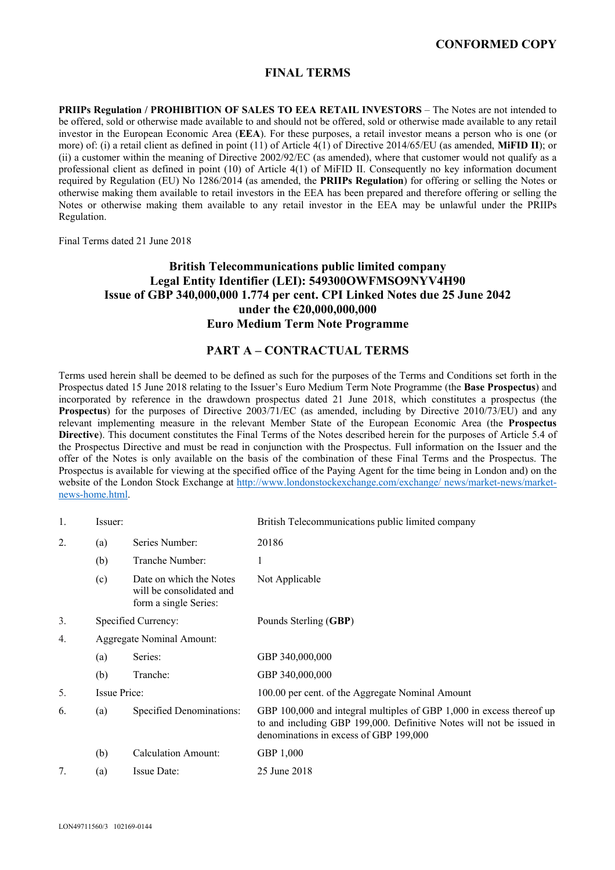# **CONFORMED COPY**

# **FINAL TERMS**

**PRIIPs Regulation / PROHIBITION OF SALES TO EEA RETAIL INVESTORS** – The Notes are not intended to be offered, sold or otherwise made available to and should not be offered, sold or otherwise made available to any retail investor in the European Economic Area (**EEA**). For these purposes, a retail investor means a person who is one (or more) of: (i) a retail client as defined in point (11) of Article 4(1) of Directive 2014/65/EU (as amended, **MiFID II**); or (ii) a customer within the meaning of Directive 2002/92/EC (as amended), where that customer would not qualify as a professional client as defined in point (10) of Article 4(1) of MiFID II. Consequently no key information document required by Regulation (EU) No 1286/2014 (as amended, the **PRIIPs Regulation**) for offering or selling the Notes or otherwise making them available to retail investors in the EEA has been prepared and therefore offering or selling the Notes or otherwise making them available to any retail investor in the EEA may be unlawful under the PRIIPs Regulation.

Final Terms dated 21 June 2018

# **British Telecommunications public limited company Legal Entity Identifier (LEI): 549300OWFMSO9NYV4H90 Issue of GBP 340,000,000 1.774 per cent. CPI Linked Notes due 25 June 2042 under the €20,000,000,000 Euro Medium Term Note Programme**

## **PART A – CONTRACTUAL TERMS**

Terms used herein shall be deemed to be defined as such for the purposes of the Terms and Conditions set forth in the Prospectus dated 15 June 2018 relating to the Issuer's Euro Medium Term Note Programme (the **Base Prospectus**) and incorporated by reference in the drawdown prospectus dated 21 June 2018, which constitutes a prospectus (the **Prospectus**) for the purposes of Directive 2003/71/EC (as amended, including by Directive 2010/73/EU) and any relevant implementing measure in the relevant Member State of the European Economic Area (the **Prospectus Directive**). This document constitutes the Final Terms of the Notes described herein for the purposes of Article 5.4 of the Prospectus Directive and must be read in conjunction with the Prospectus. Full information on the Issuer and the offer of the Notes is only available on the basis of the combination of these Final Terms and the Prospectus. The Prospectus is available for viewing at the specified office of the Paying Agent for the time being in London and) on the website of the London Stock Exchange at http://www.londonstockexchange.com/exchange/ news/market-news/marketnews-home.html.

| 1. | Issuer:                   |                                                                              | British Telecommunications public limited company                                                                                                                                      |
|----|---------------------------|------------------------------------------------------------------------------|----------------------------------------------------------------------------------------------------------------------------------------------------------------------------------------|
| 2. | (a)                       | Series Number:                                                               | 20186                                                                                                                                                                                  |
|    | (b)                       | Tranche Number:                                                              |                                                                                                                                                                                        |
|    | (c)                       | Date on which the Notes<br>will be consolidated and<br>form a single Series: | Not Applicable                                                                                                                                                                         |
| 3. |                           | Specified Currency:                                                          | Pounds Sterling (GBP)                                                                                                                                                                  |
| 4. | Aggregate Nominal Amount: |                                                                              |                                                                                                                                                                                        |
|    | (a)                       | Series:                                                                      | GBP 340,000,000                                                                                                                                                                        |
|    | (b)                       | Tranche:                                                                     | GBP 340,000,000                                                                                                                                                                        |
| 5. | <b>Issue Price:</b>       |                                                                              | 100.00 per cent. of the Aggregate Nominal Amount                                                                                                                                       |
| 6. | (a)                       | Specified Denominations:                                                     | GBP 100,000 and integral multiples of GBP 1,000 in excess thereof up<br>to and including GBP 199,000. Definitive Notes will not be issued in<br>denominations in excess of GBP 199,000 |
|    | (b)                       | <b>Calculation Amount:</b>                                                   | GBP 1,000                                                                                                                                                                              |
| 7. | (a)                       | Issue Date:                                                                  | 25 June 2018                                                                                                                                                                           |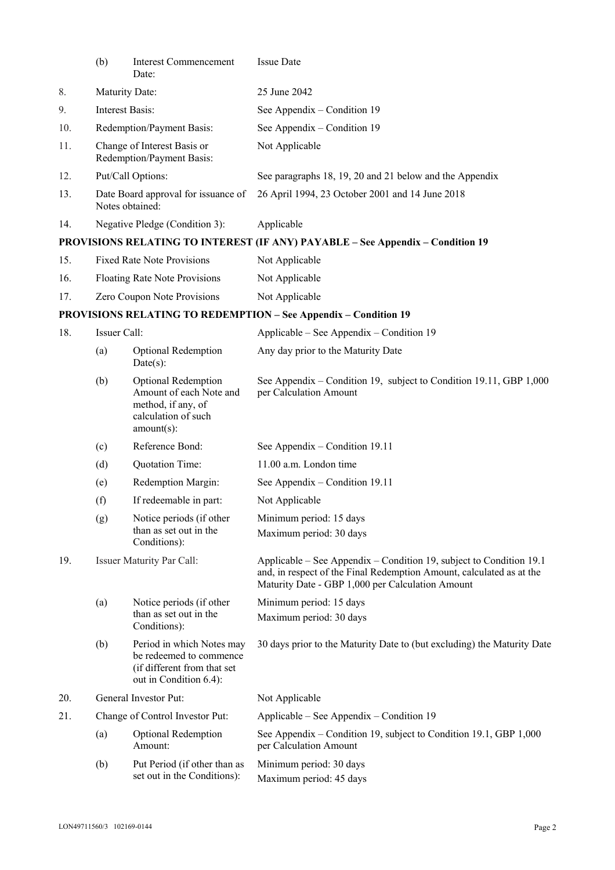|     | (b)                                                      | <b>Interest Commencement</b><br>Date:                                                                         | <b>Issue Date</b>                                                                                                                                                                               |  |
|-----|----------------------------------------------------------|---------------------------------------------------------------------------------------------------------------|-------------------------------------------------------------------------------------------------------------------------------------------------------------------------------------------------|--|
| 8.  | Maturity Date:                                           |                                                                                                               | 25 June 2042                                                                                                                                                                                    |  |
| 9.  | Interest Basis:                                          |                                                                                                               | See Appendix – Condition 19                                                                                                                                                                     |  |
| 10. | Redemption/Payment Basis:                                |                                                                                                               | See Appendix – Condition 19                                                                                                                                                                     |  |
| 11. | Change of Interest Basis or<br>Redemption/Payment Basis: |                                                                                                               | Not Applicable                                                                                                                                                                                  |  |
| 12. |                                                          | Put/Call Options:                                                                                             | See paragraphs 18, 19, 20 and 21 below and the Appendix                                                                                                                                         |  |
| 13. | Date Board approval for issuance of<br>Notes obtained:   |                                                                                                               | 26 April 1994, 23 October 2001 and 14 June 2018                                                                                                                                                 |  |
| 14. | Negative Pledge (Condition 3):                           |                                                                                                               | Applicable                                                                                                                                                                                      |  |
|     |                                                          |                                                                                                               | PROVISIONS RELATING TO INTEREST (IF ANY) PAYABLE - See Appendix - Condition 19                                                                                                                  |  |
| 15. | <b>Fixed Rate Note Provisions</b>                        |                                                                                                               | Not Applicable                                                                                                                                                                                  |  |
| 16. | Floating Rate Note Provisions                            |                                                                                                               | Not Applicable                                                                                                                                                                                  |  |
| 17. | Zero Coupon Note Provisions                              |                                                                                                               | Not Applicable                                                                                                                                                                                  |  |
|     |                                                          |                                                                                                               | <b>PROVISIONS RELATING TO REDEMPTION - See Appendix - Condition 19</b>                                                                                                                          |  |
| 18. | Issuer Call:                                             |                                                                                                               | Applicable – See Appendix – Condition 19                                                                                                                                                        |  |
|     | (a)                                                      | Optional Redemption<br>$Date(s)$ :                                                                            | Any day prior to the Maturity Date                                                                                                                                                              |  |
|     | (b)                                                      | Optional Redemption<br>Amount of each Note and<br>method, if any, of<br>calculation of such<br>$amount(s)$ :  | See Appendix – Condition 19, subject to Condition 19.11, GBP 1,000<br>per Calculation Amount                                                                                                    |  |
|     | (c)                                                      | Reference Bond:                                                                                               | See Appendix – Condition 19.11                                                                                                                                                                  |  |
|     | (d)                                                      | Quotation Time:                                                                                               | 11.00 a.m. London time                                                                                                                                                                          |  |
|     | (e)                                                      | Redemption Margin:                                                                                            | See Appendix – Condition 19.11                                                                                                                                                                  |  |
|     | (f)                                                      | If redeemable in part:                                                                                        | Not Applicable                                                                                                                                                                                  |  |
|     | (g)                                                      | Notice periods (if other<br>than as set out in the<br>Conditions):                                            | Minimum period: 15 days<br>Maximum period: 30 days                                                                                                                                              |  |
| 19. |                                                          | <b>Issuer Maturity Par Call:</b>                                                                              | Applicable – See Appendix – Condition 19, subject to Condition 19.1<br>and, in respect of the Final Redemption Amount, calculated as at the<br>Maturity Date - GBP 1,000 per Calculation Amount |  |
|     | (a)                                                      | Notice periods (if other                                                                                      | Minimum period: 15 days                                                                                                                                                                         |  |
|     |                                                          | than as set out in the<br>Conditions):                                                                        | Maximum period: 30 days                                                                                                                                                                         |  |
|     | (b)                                                      | Period in which Notes may<br>be redeemed to commence<br>(if different from that set<br>out in Condition 6.4): | 30 days prior to the Maturity Date to (but excluding) the Maturity Date                                                                                                                         |  |
| 20. | General Investor Put:                                    |                                                                                                               | Not Applicable                                                                                                                                                                                  |  |
| 21. |                                                          | Change of Control Investor Put:                                                                               | Applicable – See Appendix – Condition 19                                                                                                                                                        |  |
|     | (a)                                                      | Optional Redemption<br>Amount:                                                                                | See Appendix – Condition 19, subject to Condition 19.1, GBP 1,000<br>per Calculation Amount                                                                                                     |  |
|     | (b)                                                      | Put Period (if other than as<br>set out in the Conditions):                                                   | Minimum period: 30 days<br>Maximum period: 45 days                                                                                                                                              |  |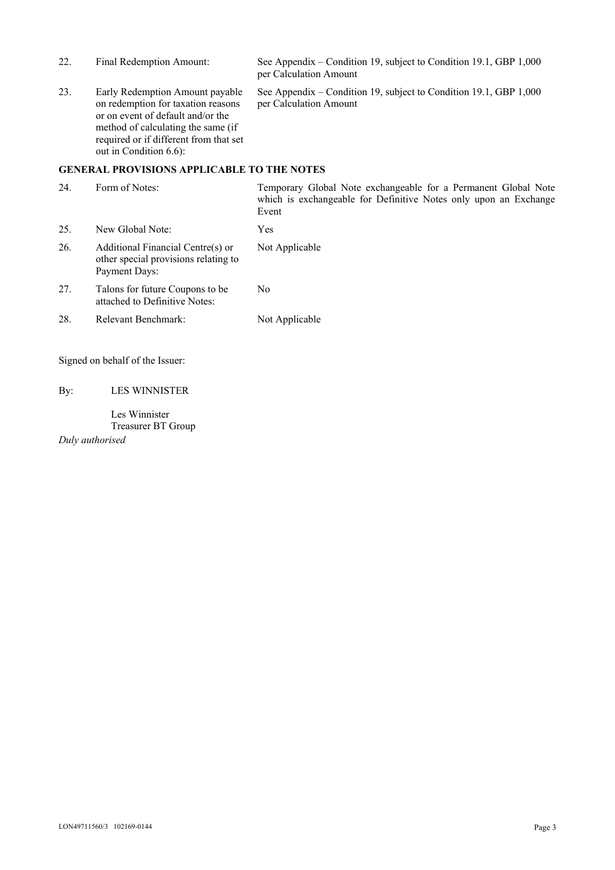| 22. | Final Redemption Amount:                                                                                                                                                                                             | See Appendix – Condition 19, subject to Condition 19.1, GBP 1,000<br>per Calculation Amount |
|-----|----------------------------------------------------------------------------------------------------------------------------------------------------------------------------------------------------------------------|---------------------------------------------------------------------------------------------|
| 23. | Early Redemption Amount payable<br>on redemption for taxation reasons<br>or on event of default and/or the<br>method of calculating the same (if<br>required or if different from that set<br>out in Condition 6.6): | See Appendix – Condition 19, subject to Condition 19.1, GBP 1,000<br>per Calculation Amount |
|     | <b>GENERAL PROVISIONS APPLICABLE TO THE NOTES</b>                                                                                                                                                                    |                                                                                             |

24. Form of Notes: Temporary Global Note exchangeable for a Permanent Global Note which is exchangeable for Definitive Notes only upon an Exchange Event 25. New Global Note: Yes 26. Additional Financial Centre(s) or other special provisions relating to Payment Days: Not Applicable 27. Talons for future Coupons to be attached to Definitive Notes: No 28. Relevant Benchmark: Not Applicable

Signed on behalf of the Issuer:

By: LES WINNISTER

 Les Winnister Treasurer BT Group

*Duly authorised*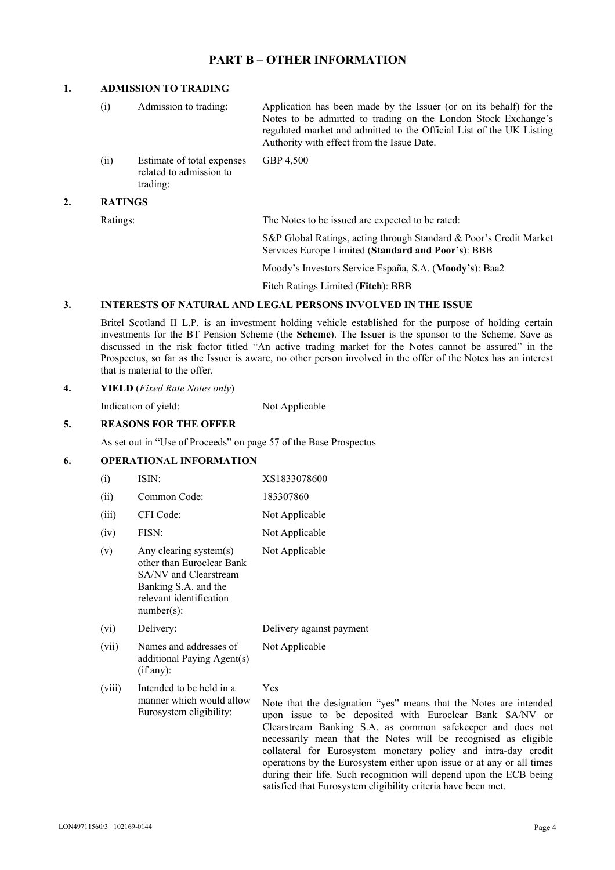## **PART B – OTHER INFORMATION**

## **1. ADMISSION TO TRADING**

| $\left(1\right)$ | Admission to trading:                                             | Application has been made by the Issuer (or on its behalf) for the<br>Notes to be admitted to trading on the London Stock Exchange's<br>regulated market and admitted to the Official List of the UK Listing<br>Authority with effect from the Issue Date. |
|------------------|-------------------------------------------------------------------|------------------------------------------------------------------------------------------------------------------------------------------------------------------------------------------------------------------------------------------------------------|
| (ii)             | Estimate of total expenses<br>related to admission to<br>trading: | GBP 4,500                                                                                                                                                                                                                                                  |
| <b>RATINGS</b>   |                                                                   |                                                                                                                                                                                                                                                            |

Ratings: The Notes to be issued are expected to be rated:

S&P Global Ratings, acting through Standard & Poor's Credit Market Services Europe Limited (**Standard and Poor's**): BBB

Moody's Investors Service España, S.A. (**Moody's**): Baa2

Fitch Ratings Limited (**Fitch**): BBB

#### **3. INTERESTS OF NATURAL AND LEGAL PERSONS INVOLVED IN THE ISSUE**

 Britel Scotland II L.P. is an investment holding vehicle established for the purpose of holding certain investments for the BT Pension Scheme (the **Scheme**). The Issuer is the sponsor to the Scheme. Save as discussed in the risk factor titled "An active trading market for the Notes cannot be assured" in the Prospectus, so far as the Issuer is aware, no other person involved in the offer of the Notes has an interest that is material to the offer.

#### **4. YIELD** (*Fixed Rate Notes only*)

Indication of yield: Not Applicable

### **5. REASONS FOR THE OFFER**

As set out in "Use of Proceeds" on page 57 of the Base Prospectus

### **6. OPERATIONAL INFORMATION**

| (i)    | ISIN:                                                                                                                                               | XS1833078600             |
|--------|-----------------------------------------------------------------------------------------------------------------------------------------------------|--------------------------|
| (ii)   | Common Code:                                                                                                                                        | 183307860                |
| (iii)  | CFI Code:                                                                                                                                           | Not Applicable           |
| (iv)   | FISN:                                                                                                                                               | Not Applicable           |
| (v)    | Any clearing system $(s)$<br>other than Euroclear Bank<br>SA/NV and Clearstream<br>Banking S.A. and the<br>relevant identification<br>$number(s)$ : | Not Applicable           |
| (vi)   | Delivery:                                                                                                                                           | Delivery against payment |
| (vii)  | Names and addresses of<br>additional Paying Agent(s)<br>(if any):                                                                                   | Not Applicable           |
| (viii) | Intended to be held in a                                                                                                                            | Yes                      |

Eurosystem eligibility:

manner which would allow Note that the designation "yes" means that the Notes are intended upon issue to be deposited with Euroclear Bank SA/NV or Clearstream Banking S.A. as common safekeeper and does not necessarily mean that the Notes will be recognised as eligible collateral for Eurosystem monetary policy and intra-day credit operations by the Eurosystem either upon issue or at any or all times during their life. Such recognition will depend upon the ECB being satisfied that Eurosystem eligibility criteria have been met.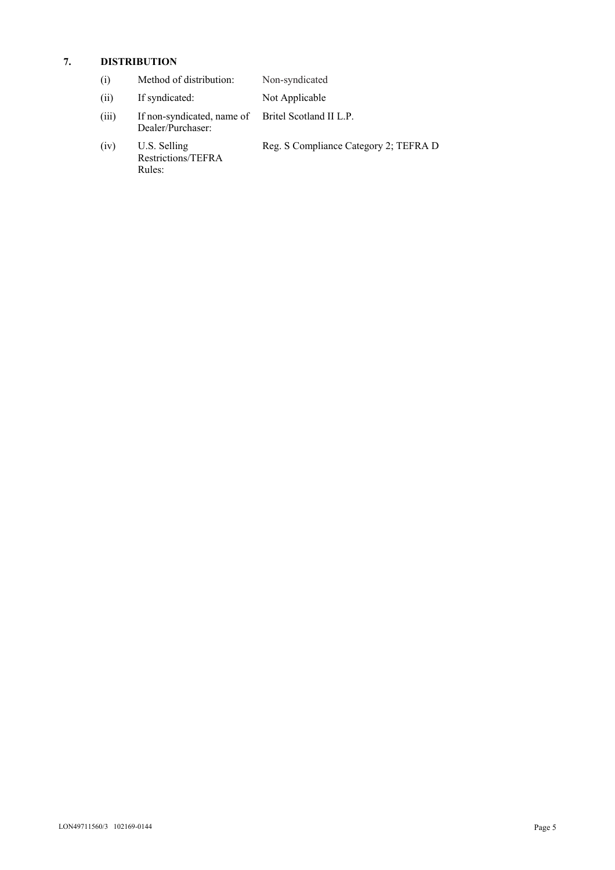## **7. DISTRIBUTION**

| $\left( 1 \right)$ | Method of distribution: | Non-syndicated |
|--------------------|-------------------------|----------------|
|--------------------|-------------------------|----------------|

- (ii) If syndicated: Not Applicable
- (iii) If non-syndicated, name of Dealer/Purchaser: Britel Scotland II L.P.
- (iv) U.S. Selling Restrictions/TEFRA Rules:
- Reg. S Compliance Category 2; TEFRA D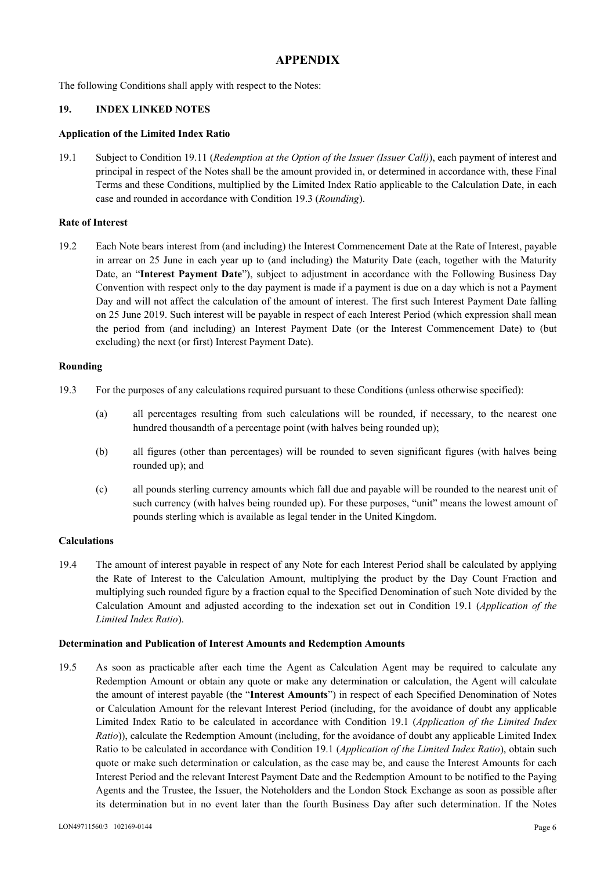# **APPENDIX**

The following Conditions shall apply with respect to the Notes:

## **19. INDEX LINKED NOTES**

### **Application of the Limited Index Ratio**

19.1 Subject to Condition 19.11 (*Redemption at the Option of the Issuer (Issuer Call)*), each payment of interest and principal in respect of the Notes shall be the amount provided in, or determined in accordance with, these Final Terms and these Conditions, multiplied by the Limited Index Ratio applicable to the Calculation Date, in each case and rounded in accordance with Condition 19.3 (*Rounding*).

### **Rate of Interest**

19.2 Each Note bears interest from (and including) the Interest Commencement Date at the Rate of Interest, payable in arrear on 25 June in each year up to (and including) the Maturity Date (each, together with the Maturity Date, an "**Interest Payment Date**"), subject to adjustment in accordance with the Following Business Day Convention with respect only to the day payment is made if a payment is due on a day which is not a Payment Day and will not affect the calculation of the amount of interest. The first such Interest Payment Date falling on 25 June 2019. Such interest will be payable in respect of each Interest Period (which expression shall mean the period from (and including) an Interest Payment Date (or the Interest Commencement Date) to (but excluding) the next (or first) Interest Payment Date).

### **Rounding**

- 19.3 For the purposes of any calculations required pursuant to these Conditions (unless otherwise specified):
	- (a) all percentages resulting from such calculations will be rounded, if necessary, to the nearest one hundred thousandth of a percentage point (with halves being rounded up);
	- (b) all figures (other than percentages) will be rounded to seven significant figures (with halves being rounded up); and
	- (c) all pounds sterling currency amounts which fall due and payable will be rounded to the nearest unit of such currency (with halves being rounded up). For these purposes, "unit" means the lowest amount of pounds sterling which is available as legal tender in the United Kingdom.

### **Calculations**

19.4 The amount of interest payable in respect of any Note for each Interest Period shall be calculated by applying the Rate of Interest to the Calculation Amount, multiplying the product by the Day Count Fraction and multiplying such rounded figure by a fraction equal to the Specified Denomination of such Note divided by the Calculation Amount and adjusted according to the indexation set out in Condition 19.1 (*Application of the Limited Index Ratio*).

#### **Determination and Publication of Interest Amounts and Redemption Amounts**

19.5 As soon as practicable after each time the Agent as Calculation Agent may be required to calculate any Redemption Amount or obtain any quote or make any determination or calculation, the Agent will calculate the amount of interest payable (the "**Interest Amounts**") in respect of each Specified Denomination of Notes or Calculation Amount for the relevant Interest Period (including, for the avoidance of doubt any applicable Limited Index Ratio to be calculated in accordance with Condition 19.1 (*Application of the Limited Index Ratio*)), calculate the Redemption Amount (including, for the avoidance of doubt any applicable Limited Index Ratio to be calculated in accordance with Condition 19.1 (*Application of the Limited Index Ratio*), obtain such quote or make such determination or calculation, as the case may be, and cause the Interest Amounts for each Interest Period and the relevant Interest Payment Date and the Redemption Amount to be notified to the Paying Agents and the Trustee, the Issuer, the Noteholders and the London Stock Exchange as soon as possible after its determination but in no event later than the fourth Business Day after such determination. If the Notes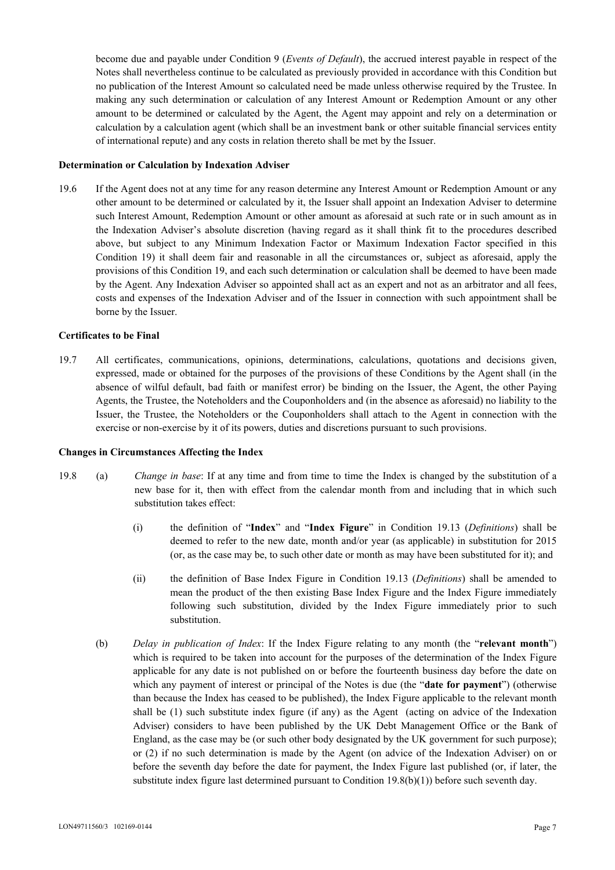become due and payable under Condition 9 (*Events of Default*), the accrued interest payable in respect of the Notes shall nevertheless continue to be calculated as previously provided in accordance with this Condition but no publication of the Interest Amount so calculated need be made unless otherwise required by the Trustee. In making any such determination or calculation of any Interest Amount or Redemption Amount or any other amount to be determined or calculated by the Agent, the Agent may appoint and rely on a determination or calculation by a calculation agent (which shall be an investment bank or other suitable financial services entity of international repute) and any costs in relation thereto shall be met by the Issuer.

#### **Determination or Calculation by Indexation Adviser**

19.6 If the Agent does not at any time for any reason determine any Interest Amount or Redemption Amount or any other amount to be determined or calculated by it, the Issuer shall appoint an Indexation Adviser to determine such Interest Amount, Redemption Amount or other amount as aforesaid at such rate or in such amount as in the Indexation Adviser's absolute discretion (having regard as it shall think fit to the procedures described above, but subject to any Minimum Indexation Factor or Maximum Indexation Factor specified in this Condition 19) it shall deem fair and reasonable in all the circumstances or, subject as aforesaid, apply the provisions of this Condition 19, and each such determination or calculation shall be deemed to have been made by the Agent. Any Indexation Adviser so appointed shall act as an expert and not as an arbitrator and all fees, costs and expenses of the Indexation Adviser and of the Issuer in connection with such appointment shall be borne by the Issuer.

#### **Certificates to be Final**

19.7 All certificates, communications, opinions, determinations, calculations, quotations and decisions given, expressed, made or obtained for the purposes of the provisions of these Conditions by the Agent shall (in the absence of wilful default, bad faith or manifest error) be binding on the Issuer, the Agent, the other Paying Agents, the Trustee, the Noteholders and the Couponholders and (in the absence as aforesaid) no liability to the Issuer, the Trustee, the Noteholders or the Couponholders shall attach to the Agent in connection with the exercise or non-exercise by it of its powers, duties and discretions pursuant to such provisions.

#### **Changes in Circumstances Affecting the Index**

- 19.8 (a) *Change in base*: If at any time and from time to time the Index is changed by the substitution of a new base for it, then with effect from the calendar month from and including that in which such substitution takes effect:
	- (i) the definition of "**Index**" and "**Index Figure**" in Condition 19.13 (*Definitions*) shall be deemed to refer to the new date, month and/or year (as applicable) in substitution for 2015 (or, as the case may be, to such other date or month as may have been substituted for it); and
	- (ii) the definition of Base Index Figure in Condition 19.13 (*Definitions*) shall be amended to mean the product of the then existing Base Index Figure and the Index Figure immediately following such substitution, divided by the Index Figure immediately prior to such substitution.
	- (b) *Delay in publication of Index*: If the Index Figure relating to any month (the "**relevant month**") which is required to be taken into account for the purposes of the determination of the Index Figure applicable for any date is not published on or before the fourteenth business day before the date on which any payment of interest or principal of the Notes is due (the "**date for payment**") (otherwise than because the Index has ceased to be published), the Index Figure applicable to the relevant month shall be (1) such substitute index figure (if any) as the Agent (acting on advice of the Indexation Adviser) considers to have been published by the UK Debt Management Office or the Bank of England, as the case may be (or such other body designated by the UK government for such purpose); or (2) if no such determination is made by the Agent (on advice of the Indexation Adviser) on or before the seventh day before the date for payment, the Index Figure last published (or, if later, the substitute index figure last determined pursuant to Condition  $19.8(b)(1)$ ) before such seventh day.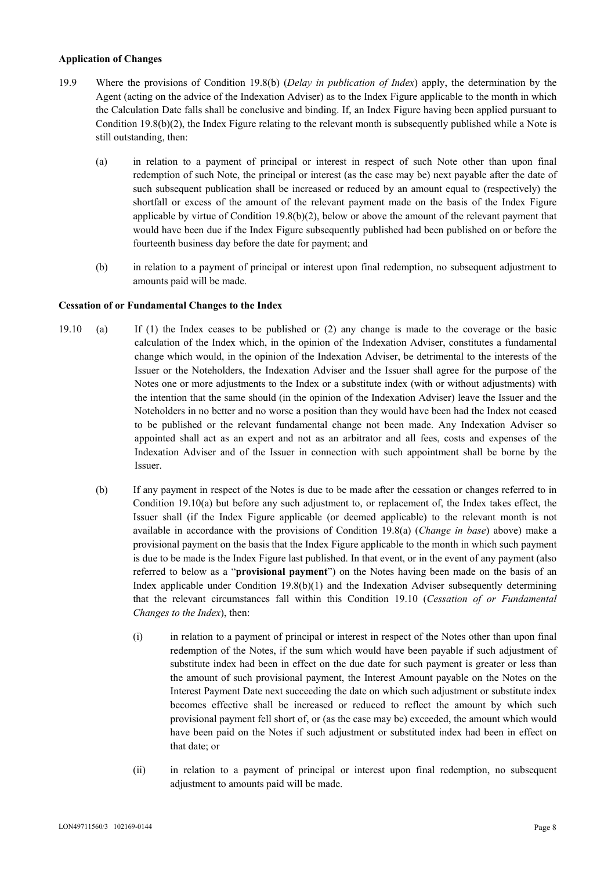### **Application of Changes**

- 19.9 Where the provisions of Condition 19.8(b) (*Delay in publication of Index*) apply, the determination by the Agent (acting on the advice of the Indexation Adviser) as to the Index Figure applicable to the month in which the Calculation Date falls shall be conclusive and binding. If, an Index Figure having been applied pursuant to Condition 19.8(b)(2), the Index Figure relating to the relevant month is subsequently published while a Note is still outstanding, then:
	- (a) in relation to a payment of principal or interest in respect of such Note other than upon final redemption of such Note, the principal or interest (as the case may be) next payable after the date of such subsequent publication shall be increased or reduced by an amount equal to (respectively) the shortfall or excess of the amount of the relevant payment made on the basis of the Index Figure applicable by virtue of Condition  $19.8(b)(2)$ , below or above the amount of the relevant payment that would have been due if the Index Figure subsequently published had been published on or before the fourteenth business day before the date for payment; and
	- (b) in relation to a payment of principal or interest upon final redemption, no subsequent adjustment to amounts paid will be made.

### **Cessation of or Fundamental Changes to the Index**

- 19.10 (a) If (1) the Index ceases to be published or (2) any change is made to the coverage or the basic calculation of the Index which, in the opinion of the Indexation Adviser, constitutes a fundamental change which would, in the opinion of the Indexation Adviser, be detrimental to the interests of the Issuer or the Noteholders, the Indexation Adviser and the Issuer shall agree for the purpose of the Notes one or more adjustments to the Index or a substitute index (with or without adjustments) with the intention that the same should (in the opinion of the Indexation Adviser) leave the Issuer and the Noteholders in no better and no worse a position than they would have been had the Index not ceased to be published or the relevant fundamental change not been made. Any Indexation Adviser so appointed shall act as an expert and not as an arbitrator and all fees, costs and expenses of the Indexation Adviser and of the Issuer in connection with such appointment shall be borne by the Issuer.
	- (b) If any payment in respect of the Notes is due to be made after the cessation or changes referred to in Condition 19.10(a) but before any such adjustment to, or replacement of, the Index takes effect, the Issuer shall (if the Index Figure applicable (or deemed applicable) to the relevant month is not available in accordance with the provisions of Condition 19.8(a) (*Change in base*) above) make a provisional payment on the basis that the Index Figure applicable to the month in which such payment is due to be made is the Index Figure last published. In that event, or in the event of any payment (also referred to below as a "**provisional payment**") on the Notes having been made on the basis of an Index applicable under Condition 19.8(b)(1) and the Indexation Adviser subsequently determining that the relevant circumstances fall within this Condition 19.10 (*Cessation of or Fundamental Changes to the Index*), then:
		- (i) in relation to a payment of principal or interest in respect of the Notes other than upon final redemption of the Notes, if the sum which would have been payable if such adjustment of substitute index had been in effect on the due date for such payment is greater or less than the amount of such provisional payment, the Interest Amount payable on the Notes on the Interest Payment Date next succeeding the date on which such adjustment or substitute index becomes effective shall be increased or reduced to reflect the amount by which such provisional payment fell short of, or (as the case may be) exceeded, the amount which would have been paid on the Notes if such adjustment or substituted index had been in effect on that date; or
		- (ii) in relation to a payment of principal or interest upon final redemption, no subsequent adjustment to amounts paid will be made.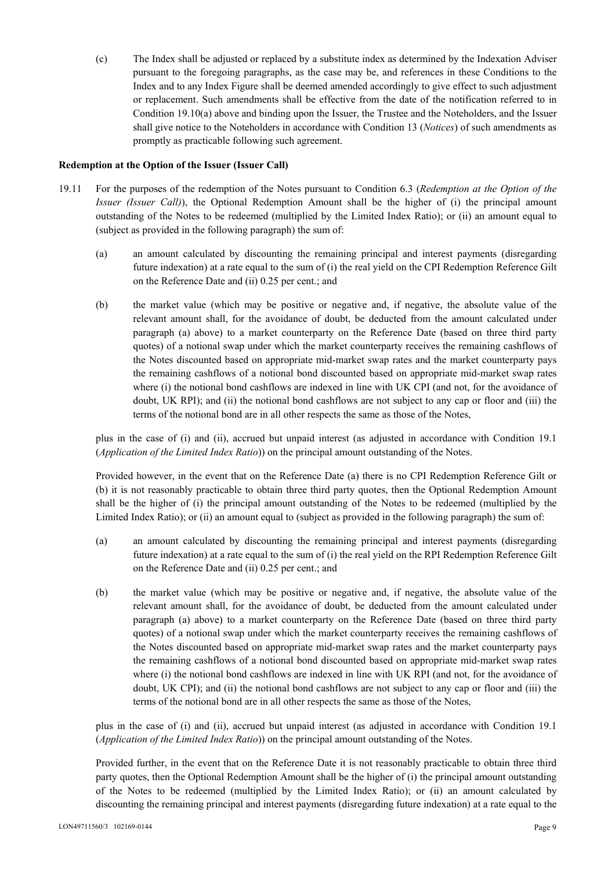(c) The Index shall be adjusted or replaced by a substitute index as determined by the Indexation Adviser pursuant to the foregoing paragraphs, as the case may be, and references in these Conditions to the Index and to any Index Figure shall be deemed amended accordingly to give effect to such adjustment or replacement. Such amendments shall be effective from the date of the notification referred to in Condition 19.10(a) above and binding upon the Issuer, the Trustee and the Noteholders, and the Issuer shall give notice to the Noteholders in accordance with Condition 13 (*Notices*) of such amendments as promptly as practicable following such agreement.

### **Redemption at the Option of the Issuer (Issuer Call)**

- 19.11 For the purposes of the redemption of the Notes pursuant to Condition 6.3 (*Redemption at the Option of the Issuer (Issuer Call)*), the Optional Redemption Amount shall be the higher of (i) the principal amount outstanding of the Notes to be redeemed (multiplied by the Limited Index Ratio); or (ii) an amount equal to (subject as provided in the following paragraph) the sum of:
	- (a) an amount calculated by discounting the remaining principal and interest payments (disregarding future indexation) at a rate equal to the sum of (i) the real yield on the CPI Redemption Reference Gilt on the Reference Date and (ii) 0.25 per cent.; and
	- (b) the market value (which may be positive or negative and, if negative, the absolute value of the relevant amount shall, for the avoidance of doubt, be deducted from the amount calculated under paragraph (a) above) to a market counterparty on the Reference Date (based on three third party quotes) of a notional swap under which the market counterparty receives the remaining cashflows of the Notes discounted based on appropriate mid-market swap rates and the market counterparty pays the remaining cashflows of a notional bond discounted based on appropriate mid-market swap rates where (i) the notional bond cashflows are indexed in line with UK CPI (and not, for the avoidance of doubt, UK RPI); and (ii) the notional bond cashflows are not subject to any cap or floor and (iii) the terms of the notional bond are in all other respects the same as those of the Notes,

plus in the case of (i) and (ii), accrued but unpaid interest (as adjusted in accordance with Condition 19.1 (*Application of the Limited Index Ratio*)) on the principal amount outstanding of the Notes.

Provided however, in the event that on the Reference Date (a) there is no CPI Redemption Reference Gilt or (b) it is not reasonably practicable to obtain three third party quotes, then the Optional Redemption Amount shall be the higher of (i) the principal amount outstanding of the Notes to be redeemed (multiplied by the Limited Index Ratio); or (ii) an amount equal to (subject as provided in the following paragraph) the sum of:

- (a) an amount calculated by discounting the remaining principal and interest payments (disregarding future indexation) at a rate equal to the sum of (i) the real yield on the RPI Redemption Reference Gilt on the Reference Date and (ii) 0.25 per cent.; and
- (b) the market value (which may be positive or negative and, if negative, the absolute value of the relevant amount shall, for the avoidance of doubt, be deducted from the amount calculated under paragraph (a) above) to a market counterparty on the Reference Date (based on three third party quotes) of a notional swap under which the market counterparty receives the remaining cashflows of the Notes discounted based on appropriate mid-market swap rates and the market counterparty pays the remaining cashflows of a notional bond discounted based on appropriate mid-market swap rates where (i) the notional bond cashflows are indexed in line with UK RPI (and not, for the avoidance of doubt, UK CPI); and (ii) the notional bond cashflows are not subject to any cap or floor and (iii) the terms of the notional bond are in all other respects the same as those of the Notes,

plus in the case of (i) and (ii), accrued but unpaid interest (as adjusted in accordance with Condition 19.1 (*Application of the Limited Index Ratio*)) on the principal amount outstanding of the Notes.

Provided further, in the event that on the Reference Date it is not reasonably practicable to obtain three third party quotes, then the Optional Redemption Amount shall be the higher of (i) the principal amount outstanding of the Notes to be redeemed (multiplied by the Limited Index Ratio); or (ii) an amount calculated by discounting the remaining principal and interest payments (disregarding future indexation) at a rate equal to the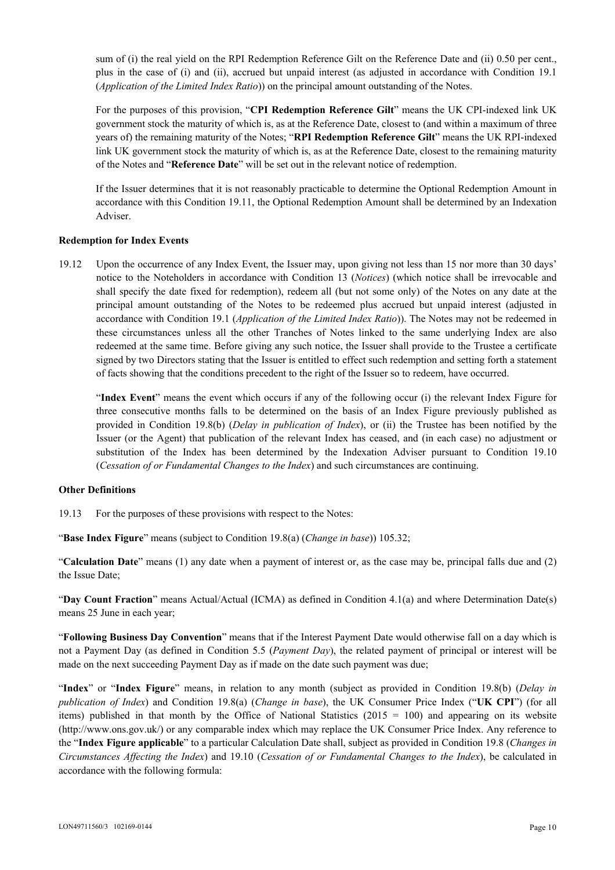sum of (i) the real yield on the RPI Redemption Reference Gilt on the Reference Date and (ii) 0.50 per cent., plus in the case of (i) and (ii), accrued but unpaid interest (as adjusted in accordance with Condition 19.1 (*Application of the Limited Index Ratio*)) on the principal amount outstanding of the Notes.

For the purposes of this provision, "**CPI Redemption Reference Gilt**" means the UK CPI-indexed link UK government stock the maturity of which is, as at the Reference Date, closest to (and within a maximum of three years of) the remaining maturity of the Notes; "**RPI Redemption Reference Gilt**" means the UK RPI-indexed link UK government stock the maturity of which is, as at the Reference Date, closest to the remaining maturity of the Notes and "**Reference Date**" will be set out in the relevant notice of redemption.

If the Issuer determines that it is not reasonably practicable to determine the Optional Redemption Amount in accordance with this Condition 19.11, the Optional Redemption Amount shall be determined by an Indexation Adviser.

### **Redemption for Index Events**

19.12 Upon the occurrence of any Index Event, the Issuer may, upon giving not less than 15 nor more than 30 days' notice to the Noteholders in accordance with Condition 13 (*Notices*) (which notice shall be irrevocable and shall specify the date fixed for redemption), redeem all (but not some only) of the Notes on any date at the principal amount outstanding of the Notes to be redeemed plus accrued but unpaid interest (adjusted in accordance with Condition 19.1 (*Application of the Limited Index Ratio*)). The Notes may not be redeemed in these circumstances unless all the other Tranches of Notes linked to the same underlying Index are also redeemed at the same time. Before giving any such notice, the Issuer shall provide to the Trustee a certificate signed by two Directors stating that the Issuer is entitled to effect such redemption and setting forth a statement of facts showing that the conditions precedent to the right of the Issuer so to redeem, have occurred.

 "**Index Event**" means the event which occurs if any of the following occur (i) the relevant Index Figure for three consecutive months falls to be determined on the basis of an Index Figure previously published as provided in Condition 19.8(b) (*Delay in publication of Index*), or (ii) the Trustee has been notified by the Issuer (or the Agent) that publication of the relevant Index has ceased, and (in each case) no adjustment or substitution of the Index has been determined by the Indexation Adviser pursuant to Condition 19.10 (*Cessation of or Fundamental Changes to the Index*) and such circumstances are continuing.

### **Other Definitions**

19.13 For the purposes of these provisions with respect to the Notes:

"**Base Index Figure**" means (subject to Condition 19.8(a) (*Change in base*)) 105.32;

"**Calculation Date**" means (1) any date when a payment of interest or, as the case may be, principal falls due and (2) the Issue Date;

"**Day Count Fraction**" means Actual/Actual (ICMA) as defined in Condition 4.1(a) and where Determination Date(s) means 25 June in each year;

"**Following Business Day Convention**" means that if the Interest Payment Date would otherwise fall on a day which is not a Payment Day (as defined in Condition 5.5 (*Payment Day*), the related payment of principal or interest will be made on the next succeeding Payment Day as if made on the date such payment was due;

"**Index**" or "**Index Figure**" means, in relation to any month (subject as provided in Condition 19.8(b) (*Delay in publication of Index*) and Condition 19.8(a) (*Change in base*), the UK Consumer Price Index ("**UK CPI**") (for all items) published in that month by the Office of National Statistics  $(2015 = 100)$  and appearing on its website (http://www.ons.gov.uk/) or any comparable index which may replace the UK Consumer Price Index. Any reference to the "**Index Figure applicable**" to a particular Calculation Date shall, subject as provided in Condition 19.8 (*Changes in Circumstances Affecting the Index*) and 19.10 (*Cessation of or Fundamental Changes to the Index*), be calculated in accordance with the following formula: